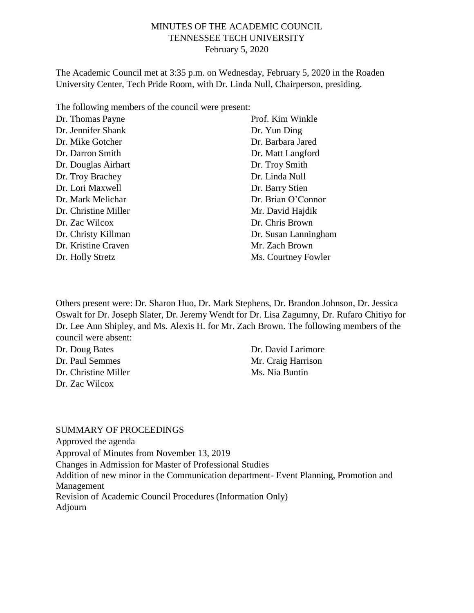### MINUTES OF THE ACADEMIC COUNCIL TENNESSEE TECH UNIVERSITY February 5, 2020

The Academic Council met at 3:35 p.m. on Wednesday, February 5, 2020 in the Roaden University Center, Tech Pride Room, with Dr. Linda Null, Chairperson, presiding.

The following members of the council were present:

| Dr. Thomas Payne     | Prof. Kim Winkle     |
|----------------------|----------------------|
| Dr. Jennifer Shank   | Dr. Yun Ding         |
| Dr. Mike Gotcher     | Dr. Barbara Jared    |
| Dr. Darron Smith     | Dr. Matt Langford    |
| Dr. Douglas Airhart  | Dr. Troy Smith       |
| Dr. Troy Brachey     | Dr. Linda Null       |
| Dr. Lori Maxwell     | Dr. Barry Stien      |
| Dr. Mark Melichar    | Dr. Brian O'Connor   |
| Dr. Christine Miller | Mr. David Hajdik     |
| Dr. Zac Wilcox       | Dr. Chris Brown      |
| Dr. Christy Killman  | Dr. Susan Lanningham |
| Dr. Kristine Craven  | Mr. Zach Brown       |
| Dr. Holly Stretz     | Ms. Courtney Fowler  |

Others present were: Dr. Sharon Huo, Dr. Mark Stephens, Dr. Brandon Johnson, Dr. Jessica Oswalt for Dr. Joseph Slater, Dr. Jeremy Wendt for Dr. Lisa Zagumny, Dr. Rufaro Chitiyo for Dr. Lee Ann Shipley, and Ms. Alexis H. for Mr. Zach Brown. The following members of the council were absent:

Dr. Doug Bates Dr. Paul Semmes Dr. Christine Miller Dr. Zac Wilcox

Dr. David Larimore Mr. Craig Harrison Ms. Nia Buntin

#### SUMMARY OF PROCEEDINGS

Approved the agenda Approval of Minutes from November 13, 2019 Changes in Admission for Master of Professional Studies Addition of new minor in the Communication department- Event Planning, Promotion and Management Revision of Academic Council Procedures (Information Only) Adjourn